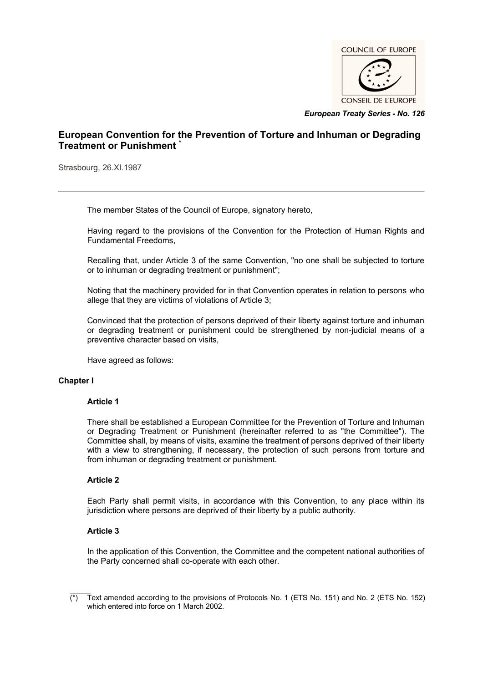

*European Treaty Series* **-** *No. 126*

# **European Convention for the Prevention of Torture and Inhuman or Degrading Treatment or Punishment \***

Strasbourg, 26.XI.1987

The member States of the Council of Europe, signatory hereto,

Having regard to the provisions of the Convention for the Protection of Human Rights and Fundamental Freedoms,

Recalling that, under Article 3 of the same Convention, "no one shall be subjected to torture or to inhuman or degrading treatment or punishment";

Noting that the machinery provided for in that Convention operates in relation to persons who allege that they are victims of violations of Article 3;

Convinced that the protection of persons deprived of their liberty against torture and inhuman or degrading treatment or punishment could be strengthened by non-judicial means of a preventive character based on visits,

Have agreed as follows:

#### **Chapter I**

#### **Article 1**

There shall be established a European Committee for the Prevention of Torture and Inhuman or Degrading Treatment or Punishment (hereinafter referred to as "the Committee"). The Committee shall, by means of visits, examine the treatment of persons deprived of their liberty with a view to strengthening, if necessary, the protection of such persons from torture and from inhuman or degrading treatment or punishment.

### **Article 2**

Each Party shall permit visits, in accordance with this Convention, to any place within its jurisdiction where persons are deprived of their liberty by a public authority.

#### **Article 3**

In the application of this Convention, the Committee and the competent national authorities of the Party concerned shall co-operate with each other.

 $\mathcal{L}$  $\overline{(*)}$  Text amended according to the provisions of Protocols No. 1 (ETS No. 151) and No. 2 (ETS No. 152) which entered into force on 1 March 2002.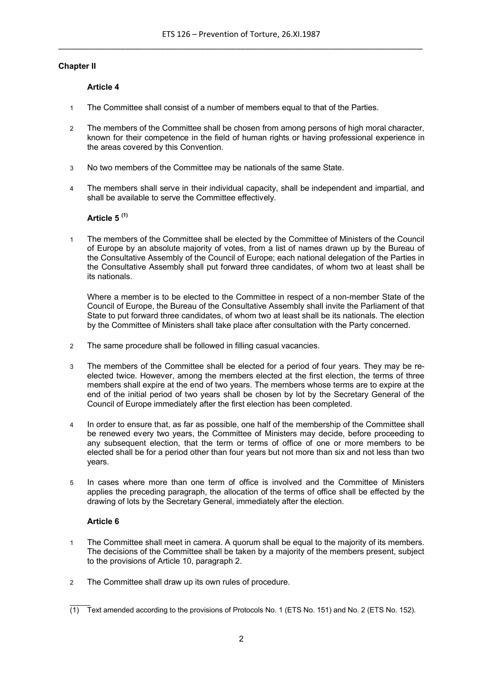# **Chapter II**

### **Article 4**

- 1 The Committee shall consist of a number of members equal to that of the Parties.
- 2 The members of the Committee shall be chosen from among persons of high moral character, known for their competence in the field of human rights or having professional experience in the areas covered by this Convention.
- 3 No two members of the Committee may be nationals of the same State.
- 4 The members shall serve in their individual capacity, shall be independent and impartial, and shall be available to serve the Committee effectively.

# **Article 5 (1)**

1 The members of the Committee shall be elected by the Committee of Ministers of the Council of Europe by an absolute majority of votes, from a list of names drawn up by the Bureau of the Consultative Assembly of the Council of Europe; each national delegation of the Parties in the Consultative Assembly shall put forward three candidates, of whom two at least shall be its nationals.

Where a member is to be elected to the Committee in respect of a non-member State of the Council of Europe, the Bureau of the Consultative Assembly shall invite the Parliament of that State to put forward three candidates, of whom two at least shall be its nationals. The election by the Committee of Ministers shall take place after consultation with the Party concerned.

- 2 The same procedure shall be followed in filling casual vacancies.
- 3 The members of the Committee shall be elected for a period of four years. They may be reelected twice. However, among the members elected at the first election, the terms of three members shall expire at the end of two years. The members whose terms are to expire at the end of the initial period of two years shall be chosen by lot by the Secretary General of the Council of Europe immediately after the first election has been completed.
- 4 In order to ensure that, as far as possible, one half of the membership of the Committee shall be renewed every two years, the Committee of Ministers may decide, before proceeding to any subsequent election, that the term or terms of office of one or more members to be elected shall be for a period other than four years but not more than six and not less than two years.
- 5 In cases where more than one term of office is involved and the Committee of Ministers applies the preceding paragraph, the allocation of the terms of office shall be effected by the drawing of lots by the Secretary General, immediately after the election.

### **Article 6**

- 1 The Committee shall meet in camera. A quorum shall be equal to the majority of its members. The decisions of the Committee shall be taken by a majority of the members present, subject to the provisions of Article 10, paragraph 2.
- 2 The Committee shall draw up its own rules of procedure.
- $\mathcal{L}$  $\overline{(1)}$  Text amended according to the provisions of Protocols No. 1 (ETS No. 151) and No. 2 (ETS No. 152).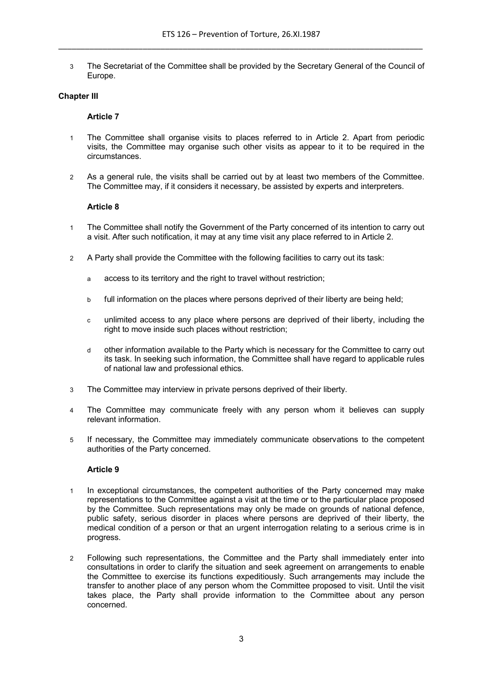3 The Secretariat of the Committee shall be provided by the Secretary General of the Council of Europe.

# **Chapter III**

### **Article 7**

- 1 The Committee shall organise visits to places referred to in Article 2. Apart from periodic visits, the Committee may organise such other visits as appear to it to be required in the circumstances.
- 2 As a general rule, the visits shall be carried out by at least two members of the Committee. The Committee may, if it considers it necessary, be assisted by experts and interpreters.

### **Article 8**

- 1 The Committee shall notify the Government of the Party concerned of its intention to carry out a visit. After such notification, it may at any time visit any place referred to in Article 2.
- 2 A Party shall provide the Committee with the following facilities to carry out its task:
	- a access to its territory and the right to travel without restriction;
	- b full information on the places where persons deprived of their liberty are being held;
	- c unlimited access to any place where persons are deprived of their liberty, including the right to move inside such places without restriction;
	- d other information available to the Party which is necessary for the Committee to carry out its task. In seeking such information, the Committee shall have regard to applicable rules of national law and professional ethics.
- 3 The Committee may interview in private persons deprived of their liberty.
- 4 The Committee may communicate freely with any person whom it believes can supply relevant information.
- 5 If necessary, the Committee may immediately communicate observations to the competent authorities of the Party concerned.

### **Article 9**

- 1 In exceptional circumstances, the competent authorities of the Party concerned may make representations to the Committee against a visit at the time or to the particular place proposed by the Committee. Such representations may only be made on grounds of national defence, public safety, serious disorder in places where persons are deprived of their liberty, the medical condition of a person or that an urgent interrogation relating to a serious crime is in progress.
- 2 Following such representations, the Committee and the Party shall immediately enter into consultations in order to clarify the situation and seek agreement on arrangements to enable the Committee to exercise its functions expeditiously. Such arrangements may include the transfer to another place of any person whom the Committee proposed to visit. Until the visit takes place, the Party shall provide information to the Committee about any person concerned.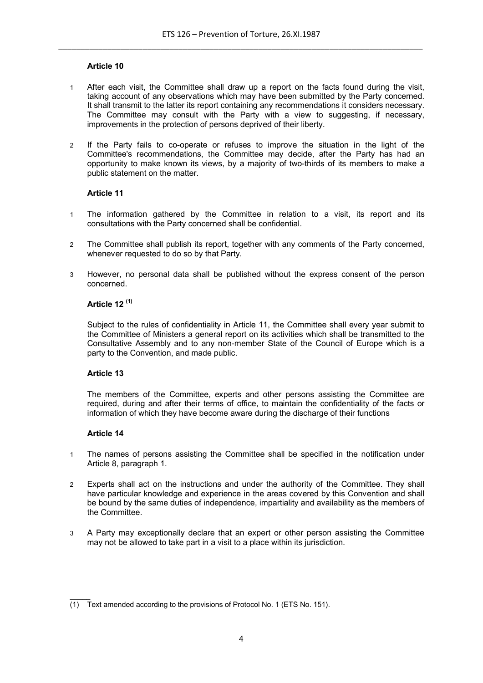### **Article 10**

- 1 After each visit, the Committee shall draw up a report on the facts found during the visit, taking account of any observations which may have been submitted by the Party concerned. It shall transmit to the latter its report containing any recommendations it considers necessary. The Committee may consult with the Party with a view to suggesting, if necessary, improvements in the protection of persons deprived of their liberty.
- 2 If the Party fails to co-operate or refuses to improve the situation in the light of the Committee's recommendations, the Committee may decide, after the Party has had an opportunity to make known its views, by a majority of two-thirds of its members to make a public statement on the matter.

### **Article 11**

- 1 The information gathered by the Committee in relation to a visit, its report and its consultations with the Party concerned shall be confidential.
- 2 The Committee shall publish its report, together with any comments of the Party concerned, whenever requested to do so by that Party.
- 3 However, no personal data shall be published without the express consent of the person concerned.

### **Article 12 (1)**

Subject to the rules of confidentiality in Article 11, the Committee shall every year submit to the Committee of Ministers a general report on its activities which shall be transmitted to the Consultative Assembly and to any non-member State of the Council of Europe which is a party to the Convention, and made public.

#### **Article 13**

The members of the Committee, experts and other persons assisting the Committee are required, during and after their terms of office, to maintain the confidentiality of the facts or information of which they have become aware during the discharge of their functions

### **Article 14**

- 1 The names of persons assisting the Committee shall be specified in the notification under Article 8, paragraph 1.
- 2 Experts shall act on the instructions and under the authority of the Committee. They shall have particular knowledge and experience in the areas covered by this Convention and shall be bound by the same duties of independence, impartiality and availability as the members of the Committee.
- 3 A Party may exceptionally declare that an expert or other person assisting the Committee may not be allowed to take part in a visit to a place within its jurisdiction.

 $\mathcal{L}$  $\overline{(1)}$  Text amended according to the provisions of Protocol No. 1 (ETS No. 151).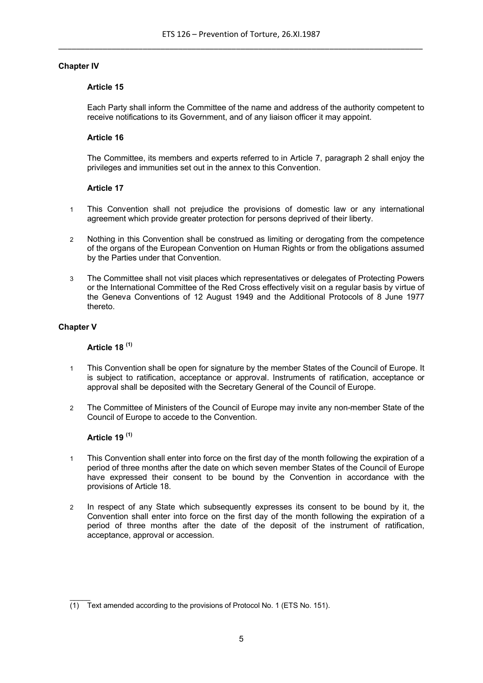# **Chapter IV**

### **Article 15**

Each Party shall inform the Committee of the name and address of the authority competent to receive notifications to its Government, and of any liaison officer it may appoint.

# **Article 16**

The Committee, its members and experts referred to in Article 7, paragraph 2 shall enjoy the privileges and immunities set out in the annex to this Convention.

# **Article 17**

- 1 This Convention shall not prejudice the provisions of domestic law or any international agreement which provide greater protection for persons deprived of their liberty.
- 2 Nothing in this Convention shall be construed as limiting or derogating from the competence of the organs of the European Convention on Human Rights or from the obligations assumed by the Parties under that Convention.
- 3 The Committee shall not visit places which representatives or delegates of Protecting Powers or the International Committee of the Red Cross effectively visit on a regular basis by virtue of the Geneva Conventions of 12 August 1949 and the Additional Protocols of 8 June 1977 thereto.

# **Chapter V**

### **Article 18 (1)**

- 1 This Convention shall be open for signature by the member States of the Council of Europe. It is subject to ratification, acceptance or approval. Instruments of ratification, acceptance or approval shall be deposited with the Secretary General of the Council of Europe.
- 2 The Committee of Ministers of the Council of Europe may invite any non-member State of the Council of Europe to accede to the Convention.

### **Article 19 (1)**

- 1 This Convention shall enter into force on the first day of the month following the expiration of a period of three months after the date on which seven member States of the Council of Europe have expressed their consent to be bound by the Convention in accordance with the provisions of Article 18.
- 2 In respect of any State which subsequently expresses its consent to be bound by it, the Convention shall enter into force on the first day of the month following the expiration of a period of three months after the date of the deposit of the instrument of ratification, acceptance, approval or accession.

 $\mathcal{L}$  $\overline{(1)}$  Text amended according to the provisions of Protocol No. 1 (ETS No. 151).